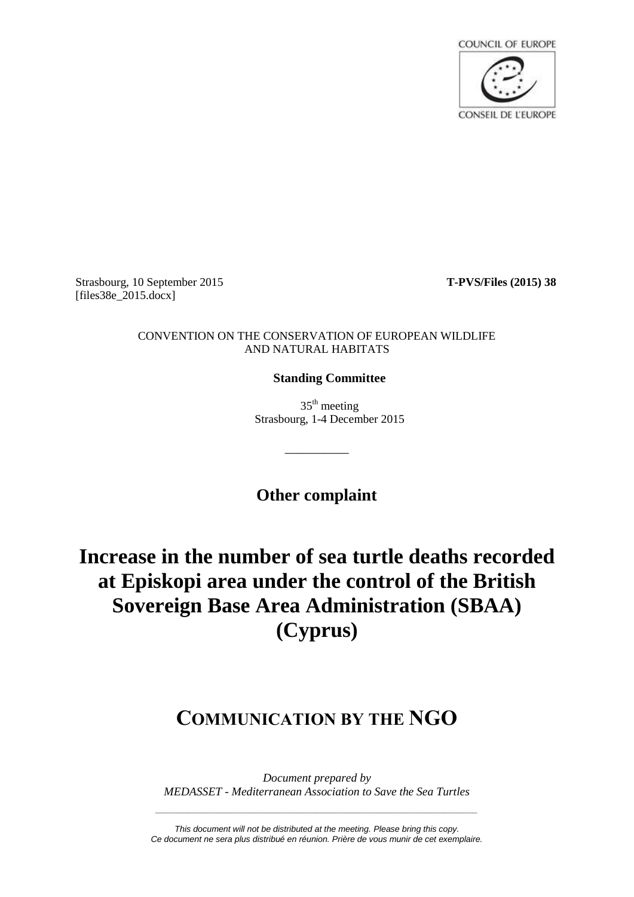

Strasbourg, 10 September 2015 **T-PVS/Files (2015) 38** [files38e\_2015.docx]

#### CONVENTION ON THE CONSERVATION OF EUROPEAN WILDLIFE AND NATURAL HABITATS

### **Standing Committee**

 $35<sup>th</sup>$  meeting Strasbourg, 1-4 December 2015

**Other complaint**

\_\_\_\_\_\_\_\_\_\_

# **Increase in the number of sea turtle deaths recorded at Episkopi area under the control of the British Sovereign Base Area Administration (SBAA) (Cyprus)**

## **COMMUNICATION BY THE NGO**

*Document prepared by MEDASSET - Mediterranean Association to Save the Sea Turtles*

*\_\_\_\_\_\_\_\_\_\_\_\_\_\_\_\_\_\_\_\_\_\_\_\_\_\_\_\_\_\_\_\_\_\_\_\_\_\_\_\_\_\_\_\_\_\_\_\_\_\_\_\_\_\_\_\_\_\_\_\_\_\_\_\_\_\_\_\_*

*This document will not be distributed at the meeting. Please bring this copy. Ce document ne sera plus distribué en réunion. Prière de vous munir de cet exemplaire.*